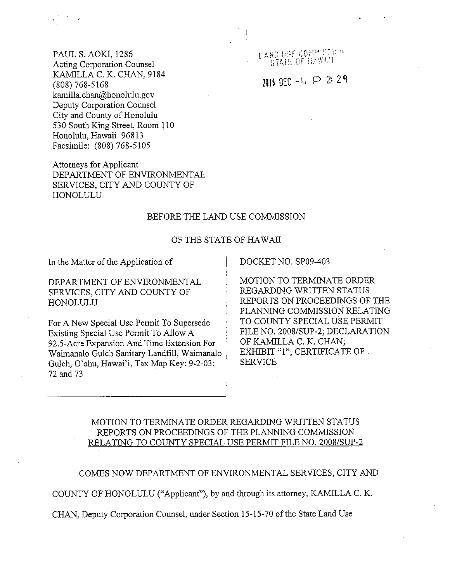PAUL S. AOKI, 1286 Acting Corporation Counsel KAMILLA C. K. CHAN, 9184 (808) 768-5168 kamilla.chan@honolulu.gov Deputy Corporation Counsel City and County of Honolulu 530 South King Street, Room 110 Honolulu, Hawaii 96813 Facsimile: (808) 768-5105

Attorneys for Applicant DEPARTMENT OF ENVIRONMENTAL SERVICES, CITY AND COUNTY OF HONOLULU

### BEFORE THE LAND USE COMMISSION

#### OF THE STATE OF HAWAII

In the Matter of the Application of

DEPARTMENT OF ENVIRONMENTAL SERVICES, CITY AND COUNTY OF HONOLULU

For A New Special Use Permit To Supersede Existing Special Use Permit To Allow A 92.5-Acre Expansion And Time Extension For Waimanalo Gulch Sanitary Landfill, Waimanalo Gulch, O'ahu, Hawai'i, Tax Map Key: 9-2-03: 72 and 73

DOCKET NO. SPO9-403

MOTION TO TERMINATE ORDER REGARDING WRITTEN STATUS REPORTS ON PROCEEDINGS OF THE PLANNING COMMISSION RELATING TO COUNTY SPECIAL USE PERMIT FILE NO. 2008/SUP-2; DECLARATION OF KAMILLA C. K. CHAN; EXHIBIT "1"; CERTIFICATE OF SERVICE

# MOTION TO TERMINATE ORDER REGARDING WRITTEN STATUS REPORTS ON PROCEEDINGS OF THE PLANNING COMMISSION RELATING TO COUNTY SPECIAL USE PERMIT FILE NO. 2008/SUP-2

COMES NOW DEPARTMENT OF ENVIRONMENTAL SERVICES, CITY AND

COUNTY OF HONOLULU ("Applicant"), by and through its attorney, KAMILLA C. K.

CHAN, Deputy Corporation Counsel, under Section 15-15-70 of the State Land Use

LAND USE COMMISSION

 $211$  DEC -4  $P$  2.29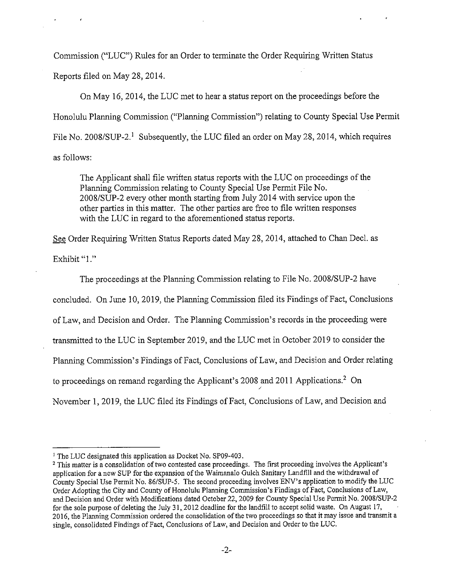Commission ("LUC") Rules for an Order to terminate the Order Requiring Written Status Reports filed on May 28, 2014.

On May 16, 2014, the LUC met to hear a status report on the proceedings before the Honolulu Planning Commission ("Planning Commission") relating to County Special Use Permit File No. 2008/SUP-2<sup>1</sup> Subsequently, the LUC filed an order on May 28, 2014, which requires as follows:

The Applicant shall file written status reports with the LUC on proceedings of the Planning Commission relating to County Special Use Permit File No. 2008/SUP-2 every other month starting from July 2014 with service upon the other parties in this matter. The other parties are free to file written responses with the LUC in regard to the aforementioned status reports.

See Order Requiring Written Status Reports dated May 28, 2014, attached to Chan Decl. as

Exhibit "1."

The proceedings at the Planning Commission relating to File No. 2008/SUP-2 have concluded. On June 10, 2019, the Planning Commission filed its Findings of Fact, Conclusions of Law, and Decision and Order. The Planning Commission's records in the proceeding were transmitted to the LUC in September 2019, and the LUC met in October 2019 to consider the Planning Commission's Findings of Fact, Conclusions of Law, and Decision and Order relating to proceedings on remand regarding the Applicant's 2008 and 2011 Applications.2 On November 1, 2019, the LUC filed its Findings of Fact, Conclusions of Law, and Decision and

<sup>&#</sup>x27;The LUC designated this application as Docket No. SP09-403.

<sup>&</sup>lt;sup>2</sup> This matter is a consolidation of two contested case proceedings. The first proceeding involves the Applicant's application for a new SUP for the expansion of the Waimanalo Gulch Sanitary Landfill and the withdrawal of County Special Use Permit No. 86/SUP-5. The second proceeding involves ENV's application to modify the LUC Order Adopting the City and County of Honolulu Planning Commission's Findings of Fact, Conclusions of Law, and Decision and Order with Modifications dated October 22, 2009 for County Special Use Permit No. 2008/SUP-2 for the sole purpose of deleting the July 31,2012 deadline for the landfill to accept solid waste. On August 17, 20 16, the Planning Commission ordered the consolidation ofthe two proceedings so that it may issue and transmit <sup>a</sup> single, consolidated Findings of Fact, Conclusions of Law, and Decision and Order to the LUC.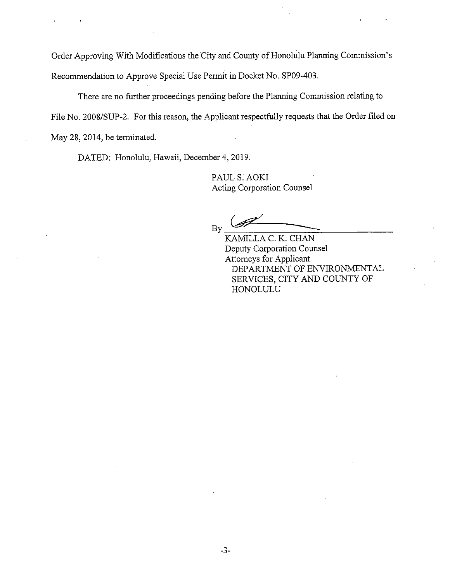Order Approving With Modifications the City and County of Honolulu Planning Commission's Recommendation to Approve Special Use Permit in Docket No. 5P09-403.

There are no further proceedings pending before the Planning Commission relating to File No. 2008/SUP-2. For this reason, the Applicant respectfully requests that the Order filed on May 28, 2014, be terminated.

DATED: Honolulu, Hawaii, December 4, 2019.

PAUL S. AOKI Acting Corporation Counsel

PAUL S. AOKI<br>Acting Corporation Counsel<br>By KAMILLA C. K. CHAN

KAMILLA C. K. CHAN Deputy Corporation Counsel Attorneys for Applicant DEPARTMENT OF ENVIRONMENTAL SERVICES, CITY AND COUNTY OF HONOLULU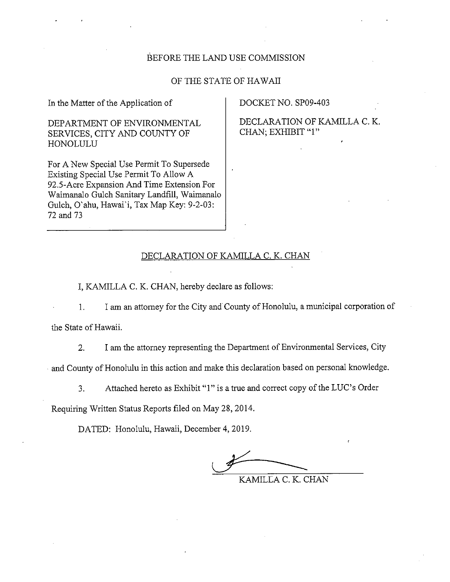#### OF THE STATE OF HAWAII

In the Matter of the Application of

# DEPARTMENT OF ENVIRONMENTAL SERVICES, CITY AND COUNTY OF HONOLULU

For A New Special Use Permit To Supersede Existing Special Use Permit To Allow A 92.5-Acre Expansion And Time Extension For Waimanalo Gulch Sanitary Landfill, Waimanalo Gulch, O'ahu, Hawai'i, Tax Map Key: 9-2-03: 72 and 73

#### DOCKET NO. SPO9-403

DECLARATION OF KAMILLA C. K. CHAN; EXHIBIT "1"

# DECLARATION OF KAMILLA C. K. CHAN

I, KAMILLA C. K. CHAN, hereby declare as follows:

1. I am an attorney for the City and County of Honolulu, <sup>a</sup> municipal corporation of

the State of Hawaii.

2. I am the attorney representing the Department of Environmental Services, City

and County of Honolulu in this action and make this declaration based on personal knowledge.

3. Attached hereto as Exhibit "1" is <sup>a</sup> true and correct copy of the LUC's Order

Requiring Written Status Reports filed on May 28, 2014.

DATED: Honolulu, Hawaii, December 4, 2019.

KAMILLA C. K. CHAN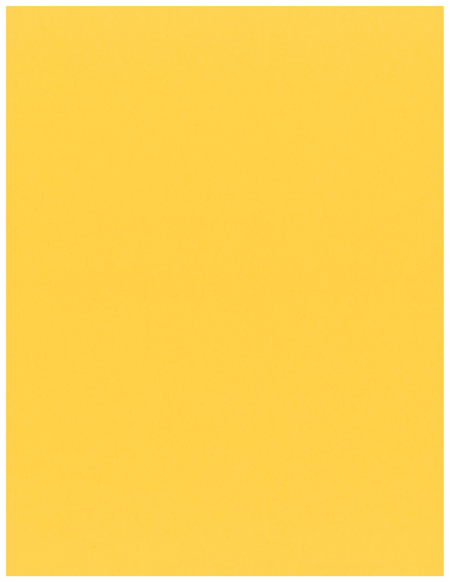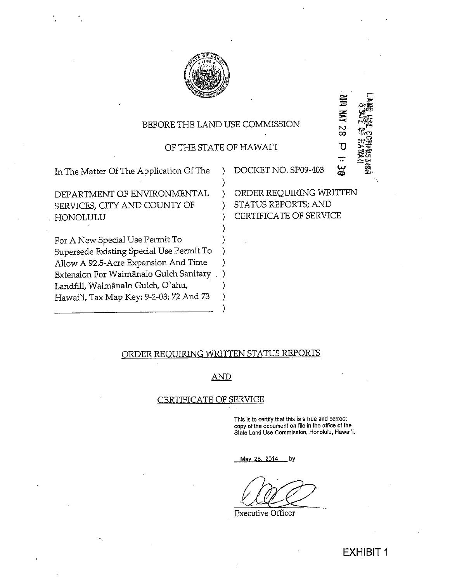

# OF THE STATE OF HAWAI'I

)

)

€

) ) )

) )

In The Matter Of The Application Of The

DEPARTMENT OF ENVIRONMENTAL SERVICES, CITY AND COUNTY OF HONOLULU

For A New Special Use Permit To Supersede Existing Special Use Permit To Allow A 92.5-Acre Expansion And Time Extension For Waimanalo Gulch Sanitary Landfill, Waimanalo Gulch, O'ahu, Hawai'i, Tax Map Key: 9-2-03: 72 And 73

\_\_\_\_\_\_\_\_\_\_\_\_\_\_\_\_\_\_\_\_\_\_\_\_\_\_\_\_\_\_\_\_\_\_\_\_\_\_\_\_\_\_\_\_\_\_\_\_\_\_ )

#### DOCKET NO. SPO9-403 بيا<br>©

ORDER REQUIRING WRITTEN STATUS REPORTS; AND CERTIFICATE OF SERVICE

#### ORDER REQUIRING WRITTEN STATUS REPORTS

#### AND

#### CERTIFICATE OF SERVICE

This Is to certify that this is a true and correct copy of the document on file in the office of the State Land Use Commission, Honolulu, Hawai'i.

May 28, 2014 by

Executive Officer

r<br>E

 $\sim$  .  $\mathbb{P}^n$ 00 %<br>22 m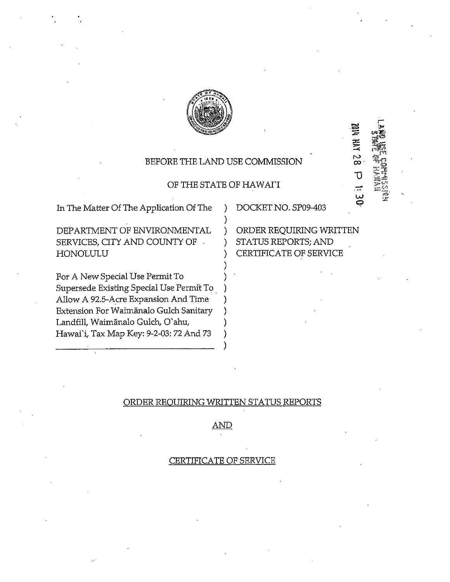

# OF THE STATE OF HAWAI'I

)

 $\lambda$ 

) ) ) ) ) ) ) )

In The Matter Of The Application Of The

DEPARTMENT OF ENVIRONMENTAL SERVICES, CITY AND COUNTY OF . HONOLULU

Por A New Special Use Permit To Supersede Existing Special Use Permit To• Allow A 92.5-Acre Expansion And Time Extension For Waimanalo Gulch Sanitary Landfill, Waimanalo Gulch, O'ahu, Hawai'i, Tax Map Key: 9-2-03: 72 And 73

DOCKET NO. 5P09-403

ORDER REQUIRING WRITTEN STATUS REPORTS; AND CERTIFICATE OF SERVICE

.<br>C ':0

 $\pi$   $\in$ 

o<br>Omer<br>Omer

.c.

<u>≍</u> N.)

<u>ա</u>

#### ORDER REQUIRING WRITTEN STATUS REPORTS

AND

#### CERTIFICATE OF SERVICE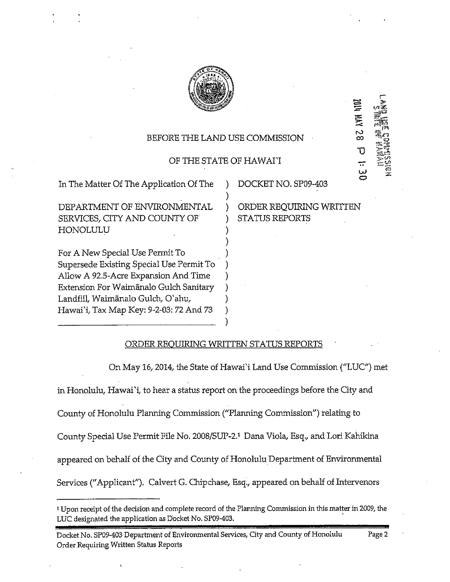

### OF THE STATE OF HAWAI'I

)

)

In The Matter Of The Application Of The ) DOCKET NO. SP09-403

DEPARTMENT OF ENVIRONMENTAL ) ORDER REQUiRING WRITTEN SERVICES, CITY AND COUNTY OF ) STATUS REPORTS HONOLULU

For A New Special Use Permit To Supersede Existing Special Use Permit To Allow A 92.5-Acre Expansion And Time Extension For Waimãnalo Gulch Sanitary ) Landfill, Waimanalo Gulch, O'ahu, ) Hawai'i, Tax Map Key: 9-2-03: 72 And 73

\_\_\_\_\_\_\_\_\_\_\_\_\_\_\_\_\_\_\_\_\_\_\_\_\_\_\_\_\_\_\_\_\_\_\_\_\_\_\_\_\_\_\_\_\_\_\_\_\_\_\_\_\_\_\_\_\_\_\_\_\_\_\_\_\_\_\_\_\_\_\_\_\_\_\_\_\_\_\_\_\_\_\_\_\_ )

#### ORDER REQUIRING WRITTEN STATUS REPORTS

On May 16, 2014, the State of Hawai'i Land Use Commission ("LUC") met

in Honolulu, Hawai`i, to hear a status report on the proceedings before the City and County of Honolulu Planning Commission ("Planning Commission") relating to County Special Use Permit File No. 2008/SUP-2.<sup>1</sup> Dana Viola, Esq., and Lori Kahikina appeared on behalf of the City and County of Honolulu Department of Environmental Services ("Applicant"). Calvert C. Chipchase, Esq., appeared on behalf of Intervenors

 $\overline{r}$  $\frac{1}{2}$  referred to  $\frac{1}{2}$  referred to  $\frac{1}{2}$ 

~"<br>ግር

rJ az

ں<br>ص

<sup>&#</sup>x27;Upon receipt of the decision and complete record of the Planning Commission in this matter in 2009, the LUC designated the application as Docket No. SPO9-403.

Docket No. SPO9-403 Department of Environmental Services, City and County of Honolulu Order Requiring Written Status Reports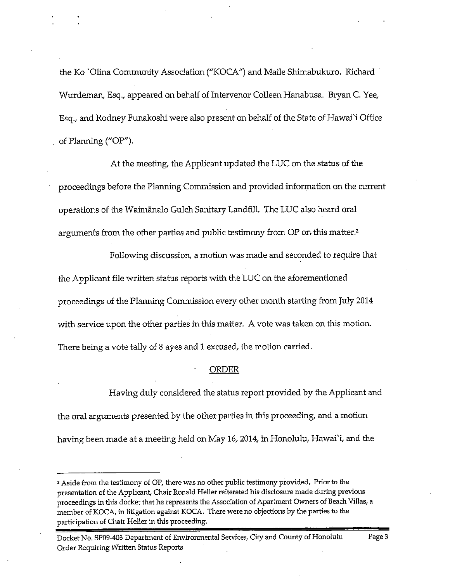the Ko 'Olina Community Association ("KOCA") and Maile Shimabukuro. Richard Wurdeman, Esq., appeared on behalf of Intervenor Colleen Hanabusa. Bryan C. Yee, Esq., and Rodney Funakoshi were also present on behalf of the State of Hawai'i Office of Planning ("OF").

At the meeting, the Applicant updated the LUC on the status of the proceedings before the Flanning Commission and provided information on the current operations of the Waimanalo Gulch Sanitary Landfill. The LUC also heard oral arguments from the other parties and public testimony from OP on this matter?

Following discussion, <sup>a</sup> motion was made and seconded to require that the Applicant file written status reports with the LUC on the aforementioned proceedings of the Planning Commission every other month starting from July 2014 with service upon the other parties in this matter. A vote was taken on this motion. There being a vote tally of <sup>8</sup> ayes and <sup>1</sup> excused, the motion carried.

#### ORDER

Having duly considered the status report provided by the Applicant and the oral arguments presented by the other parties in this proceeding, and <sup>a</sup> motion having been made at <sup>a</sup> meeting held on May 16, 2014, in Honolulu, Hawai'i, and the

<sup>2</sup> Aside from the testimony of OP, there was no other public testimony provided. Prior to the presentation of the Applicant, Chair Ronald Heller reiterated his disclosure made during previous proceedings in this docket that he represents the Association of Apartment Owners of Beach Villas, <sup>a</sup> member of KOCA, in litigation against KOCA. There were no objections by the parties to the participation of Chair Heller in this proceeding.

Docket No, SPO9-403 Department of Environmental Services, City and County of Honolulu Page <sup>3</sup> Order Requiring Written Status Reports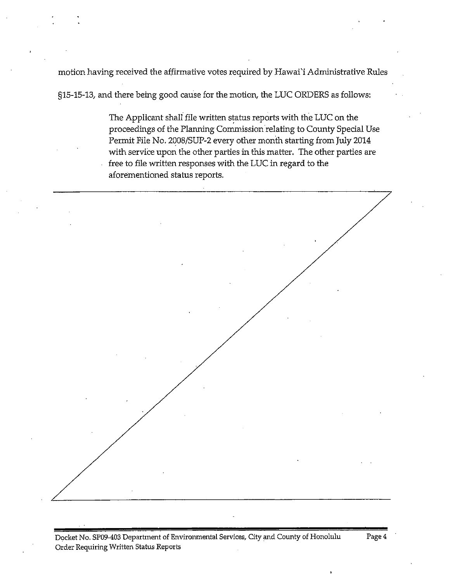motion having received the affirmative votes required by Hawai'i Administrative Rules

§15-15-13, and there being good cause for the motion, the LUC ORDERS as follows:

The Applicant shall file written status reports with the LUC on the proceedings of the Planning Commission relating to County Special Use Permit File No. 2008/SUP-2 every other month starting from July 2014 with service upon the other parties in this matter. The other parties are free to file written responses with the LUC in regard to the aforementioned status reports.

Docket No. SPO9-403 Department of Environmental Services, City and County of Honolulu Page 4 Order Requiring Written Status Reports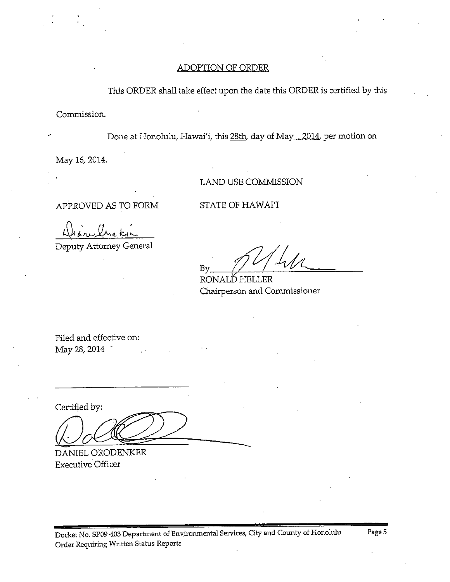#### ADOPTION OF ORDER

Commission. This ORDER shall take effect upon the date this ORDER is certified by this

Done at Honolulu, Hawai'i, this 28th, day of May 2014, per motion on

May 16, 2014.

# LAND USE COMMISSION

APPROVED AS TO FORM STATE OF HAWAI'I

lno kir

Deputy Attorney General

By

RONALĎ HELLER Chairperson and Commissioner

Piled and effective on: May 28, 2014

Certified by:

DANIEL ORODENKER Executive Officer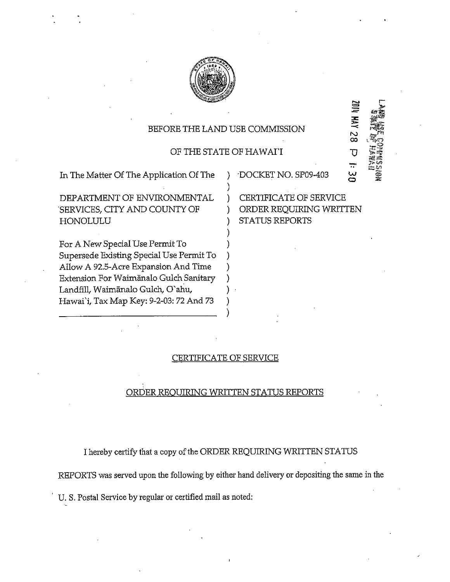

# OF THE STATE OF HAWAI'I

) ) ) ) )

In The Matter Of The Application Of The

DEPARTMENT OF ENVIRONMENTAL SERVICES, CITY AND COUNTY OF HONOLULU

For A New Special Use Permit To Supersede Existing Special Use Permit To Allow A 92.5-Acre Expansion And Time Extension For Waimanalo Gulch Sanitary Landfill, Waimanalo Gulch, O'ahu, Hawai'i, Tax Map Key: 9-2-03: 72 And 73 )

DOCKET NO. SPO9-403

CERTIFICATE OF SERVICE ORDER REQUIRING WRITTEN STATUS REPORTS

 $\mathbb{R}$  , respectively.  $\equiv$ 

 $\Xi$   $\frac{m}{2}$ 

 $\breve{\infty}$ 

'n

I-4J  $\widetilde{\mathtt{c}}$ 

#### CERTIFICATE OF SERVICE

)

# ORDER REQUIRING WRITTEN STATUS REPORTS

I hereby certify that <sup>a</sup> copy of the ORDER REQUIRING WRITTEN STATUS

REPORTS was served upon the following by either hand delivery or depositing the same in the

U. S. Postal Service by regular or certified mail as noted: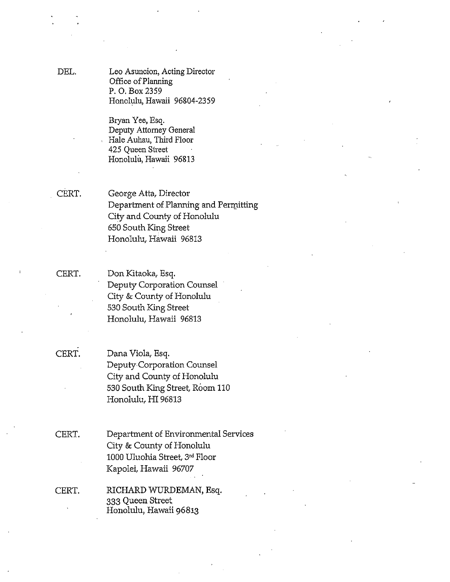DEL. Leo Asuncion, Acting Director Office of Planning P. O.Box2359 Honolulu, Hawaii 96804-23 59

> Bryan Yce, Esq. Deputy Attorney General Hale Auhau, Third Floor 425 Queen Street Honolulu, Hawaii 96813

CERT. George Atta, Director Department of Plarming and Permitting City and County of Honolulu 650 South King Street Honolulu, Hawaii 96813

CERT. Don Kitaoka, Esq. Deputy Corporation Counsel City & County of Honolulu 530 South King Street Honolulu, Hawaii 96813

- CERT. Dana Viola, Esq. Deputy Corporation Counsel City and County of Honolulu 530 South King Street, Room 110 Honolulu, HI 96813
- CERT. Department of Environmental Services City & County of Honolulu 1000 Uluohia Street, 3rd Floor Kapolei, Hawaii 96707
- CERT. RICHARD WURDEMAN, Esq. 333 Queen Street Honolulu, Hawaii 96813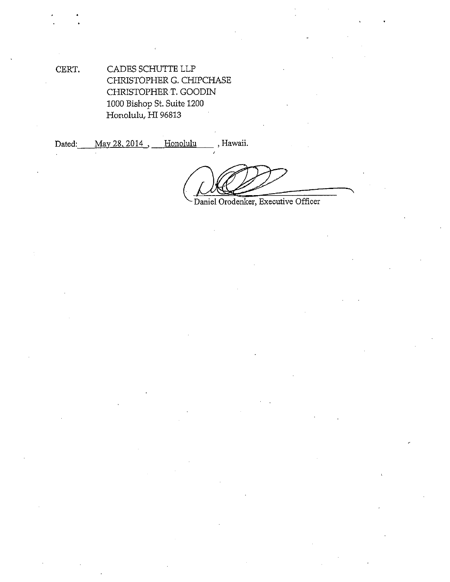CERT. CADES SCHUTTE LLP CHRISTOPHER G. CHIPCHASE CHRISTOPHER T. GOODIN 1000 Bishop St. Suite 1200 Honolulu, HI 96813

Dated: May 28, 2014, Honolulu , Hawaii.

Daniel Orodenker, Executive Officer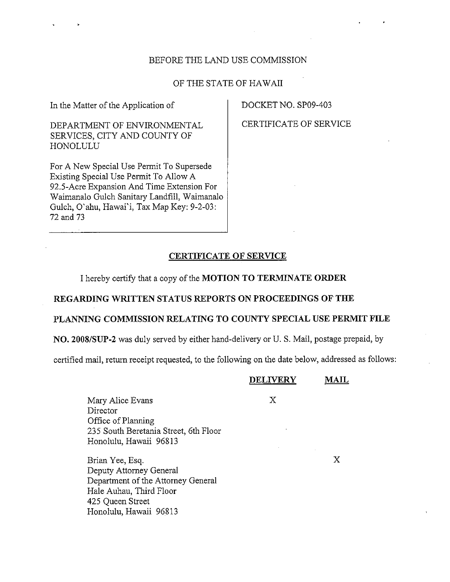### OF THE STATE OF HAWAII

In the Matter of the Application of DOCKET NO. SP09-403

**Director** 

425 Queen Street

Honolulu, Hawaii 96813

# DEPARTMENT OF ENVIRONMENTAL CERTIFICATE OF SERVICE SERVICES, CITY AND COUNTY OF HONOLULU

For A New Special Use Permit To Supersede Existing Special Use Permit To Allow A 92.5-Acre Expansion And Time Extension For Waimanalo Gulch Sanitary Landfill, Waimanalo Gulch, O'ahu, Hawai'i, Tax Map Key: 9-2-03: 72 and 73

### CERTIFICATE OF SERVICE

#### I hereby certify that <sup>a</sup> copy of the MOTION TO TERMINATE ORDER

#### REGARDING WRITTEN STATUS REPORTS ON PROCEEDINGS OF THE

#### PLANNING COMMISSION RELATING TO COUNTY SPECIAL USE PERMIT FILE

#### NO. 2008/SUP-2 was duly served by either hand-delivery or U. S. Mail, postage prepaid, by

certified mail, return receipt requested, to the following on the date below, addressed as follows:

# DELIVERY MAIL Mary Alice Evans X Office of Planning 235 South Beretania Street, 6th Floor Honolulu, Hawaii 96813 Brian Yee, Esq. X Deputy Attorney General Department of the Attorney General Hale Auhau, Third Floor